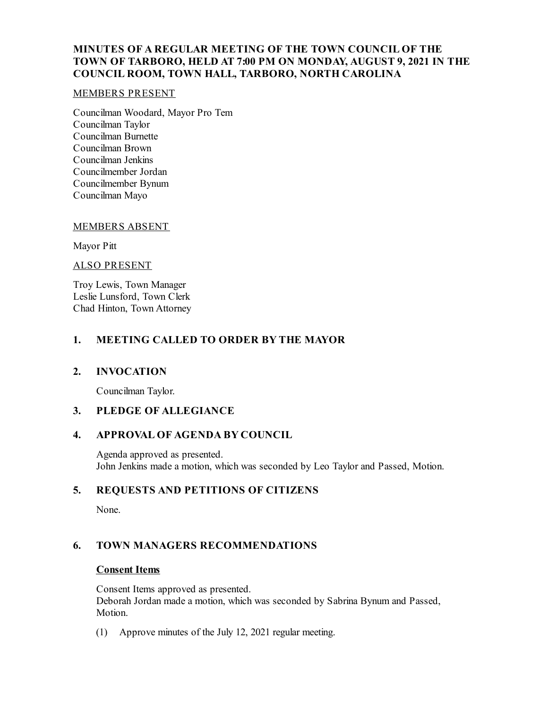## **MINUTES OF A REGULAR MEETING OF THE TOWN COUNCIL OF THE TOWN OF TARBORO, HELD AT 7:00 PM ON MONDAY, AUGUST 9, 2021 IN THE COUNCIL ROOM, TOWN HALL, TARBORO, NORTH CAROLINA**

### MEMBERS PRESENT

Councilman Woodard, Mayor Pro Tem Councilman Taylor Councilman Burnette Councilman Brown Councilman Jenkins Councilmember Jordan Councilmember Bynum Councilman Mayo

#### MEMBERS ABSENT

Mayor Pitt

#### ALSO PRESENT

Troy Lewis, Town Manager Leslie Lunsford, Town Clerk Chad Hinton, Town Attorney

## **1. MEETING CALLED TO ORDER BY THE MAYOR**

### **2. INVOCATION**

Councilman Taylor.

### **3. PLEDGE OF ALLEGIANCE**

## **4. APPROVAL OF AGENDA BY COUNCIL**

Agenda approved as presented. John Jenkins made a motion, which was seconded by Leo Taylor and Passed, Motion.

## **5. REQUESTS AND PETITIONS OF CITIZENS**

None.

## **6. TOWN MANAGERS RECOMMENDATIONS**

### **Consent Items**

Consent Items approved as presented. Deborah Jordan made a motion, which was seconded by Sabrina Bynum and Passed, Motion.

(1) Approve minutes of the July 12, 2021 regular meeting.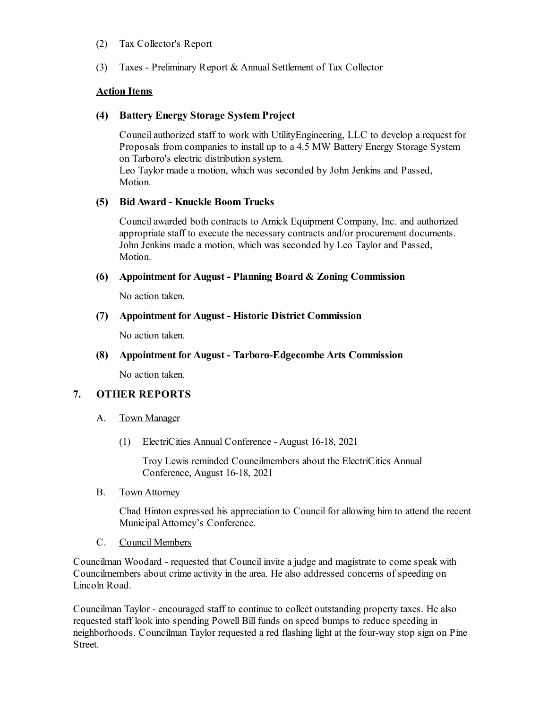### (2) Tax Collector's Report

(3) Taxes - Preliminary Report & Annual Settlement of Tax Collector

## **Action Items**

## **(4) Battery Energy Storage System Project**

Councilauthorized staff to work with UtilityEngineering, LLC to develop a request for Proposals from companies to install up to a 4.5 MW Battery Energy Storage System on Tarboro's electric distribution system. Leo Taylor made a motion, which was seconded by John Jenkins and Passed, Motion.

## **(5) BidAward - Knuckle Boom Trucks**

Councilawarded both contracts to Amick Equipment Company, Inc. and authorized appropriate staff to execute the necessary contracts and/or procurement documents. John Jenkins made a motion, which was seconded by Leo Taylor and Passed, Motion.

## **(6) Appointment for August - Planning Board & Zoning Commission**

No action taken.

## **(7) Appointment for August - Historic District Commission**

No action taken.

## **(8) Appointment for August - Tarboro-Edgecombe Arts Commission**

No action taken.

# **7. OTHER REPORTS**

## A. Town Manager

(1) ElectriCities Annual Conference - August 16-18, 2021

Troy Lewis reminded Councilmembers about the ElectriCities Annual Conference, August 16-18, 2021

B. Town Attorney

Chad Hinton expressed his appreciation to Council for allowing him to attend the recent MunicipalAttorney's Conference.

C. Council Members

Councilman Woodard - requested that Council invite a judge and magistrate to come speak with Councilmembers about crime activity in the area. He also addressed concerns of speeding on Lincoln Road.

Councilman Taylor - encouraged staff to continue to collect outstanding property taxes. He also requested staff look into spending Powell Bill funds on speed bumps to reduce speeding in neighborhoods. Councilman Taylor requested a red flashing light at the four-way stop sign on Pine Street.